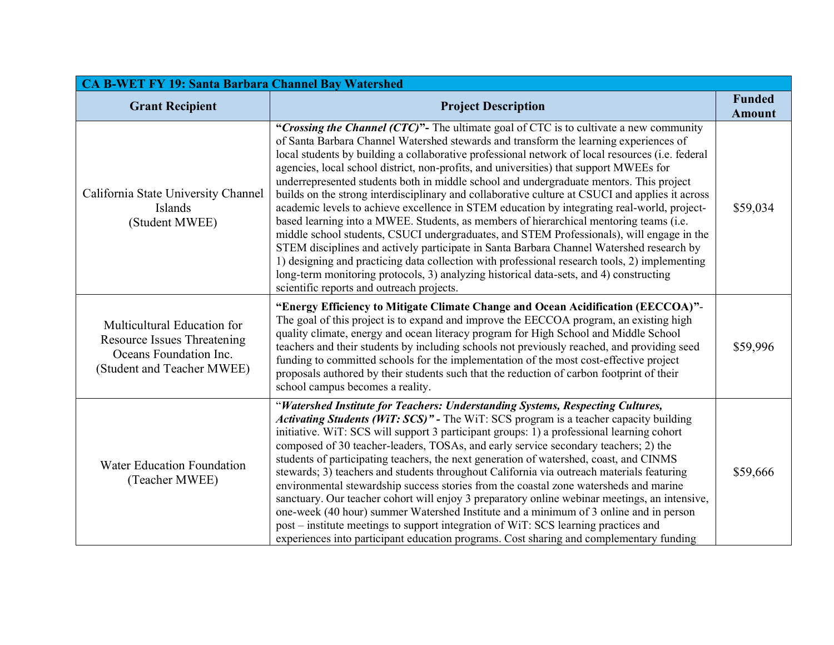| <b>CA B-WET FY 19: Santa Barbara Channel Bay Watershed</b>                                                                |                                                                                                                                                                                                                                                                                                                                                                                                                                                                                                                                                                                                                                                                                                                                                                                                                                                                                                                                                                                                                                                                                                                                                                                                       |                                |  |
|---------------------------------------------------------------------------------------------------------------------------|-------------------------------------------------------------------------------------------------------------------------------------------------------------------------------------------------------------------------------------------------------------------------------------------------------------------------------------------------------------------------------------------------------------------------------------------------------------------------------------------------------------------------------------------------------------------------------------------------------------------------------------------------------------------------------------------------------------------------------------------------------------------------------------------------------------------------------------------------------------------------------------------------------------------------------------------------------------------------------------------------------------------------------------------------------------------------------------------------------------------------------------------------------------------------------------------------------|--------------------------------|--|
| <b>Grant Recipient</b>                                                                                                    | <b>Project Description</b>                                                                                                                                                                                                                                                                                                                                                                                                                                                                                                                                                                                                                                                                                                                                                                                                                                                                                                                                                                                                                                                                                                                                                                            | <b>Funded</b><br><b>Amount</b> |  |
| California State University Channel<br>Islands<br>(Student MWEE)                                                          | "Crossing the Channel (CTC)"- The ultimate goal of CTC is to cultivate a new community<br>of Santa Barbara Channel Watershed stewards and transform the learning experiences of<br>local students by building a collaborative professional network of local resources (i.e. federal<br>agencies, local school district, non-profits, and universities) that support MWEEs for<br>underrepresented students both in middle school and undergraduate mentors. This project<br>builds on the strong interdisciplinary and collaborative culture at CSUCI and applies it across<br>academic levels to achieve excellence in STEM education by integrating real-world, project-<br>based learning into a MWEE. Students, as members of hierarchical mentoring teams (i.e.<br>middle school students, CSUCI undergraduates, and STEM Professionals), will engage in the<br>STEM disciplines and actively participate in Santa Barbara Channel Watershed research by<br>1) designing and practicing data collection with professional research tools, 2) implementing<br>long-term monitoring protocols, 3) analyzing historical data-sets, and 4) constructing<br>scientific reports and outreach projects. | \$59,034                       |  |
| Multicultural Education for<br><b>Resource Issues Threatening</b><br>Oceans Foundation Inc.<br>(Student and Teacher MWEE) | "Energy Efficiency to Mitigate Climate Change and Ocean Acidification (EECCOA)"-<br>The goal of this project is to expand and improve the EECCOA program, an existing high<br>quality climate, energy and ocean literacy program for High School and Middle School<br>teachers and their students by including schools not previously reached, and providing seed<br>funding to committed schools for the implementation of the most cost-effective project<br>proposals authored by their students such that the reduction of carbon footprint of their<br>school campus becomes a reality.                                                                                                                                                                                                                                                                                                                                                                                                                                                                                                                                                                                                          | \$59,996                       |  |
| Water Education Foundation<br>(Teacher MWEE)                                                                              | "Watershed Institute for Teachers: Understanding Systems, Respecting Cultures,<br>Activating Students (WiT: SCS)" - The WiT: SCS program is a teacher capacity building<br>initiative. WiT: SCS will support 3 participant groups: 1) a professional learning cohort<br>composed of 30 teacher-leaders, TOSAs, and early service secondary teachers; 2) the<br>students of participating teachers, the next generation of watershed, coast, and CINMS<br>stewards; 3) teachers and students throughout California via outreach materials featuring<br>environmental stewardship success stories from the coastal zone watersheds and marine<br>sanctuary. Our teacher cohort will enjoy 3 preparatory online webinar meetings, an intensive,<br>one-week (40 hour) summer Watershed Institute and a minimum of 3 online and in person<br>post – institute meetings to support integration of WiT: SCS learning practices and<br>experiences into participant education programs. Cost sharing and complementary funding                                                                                                                                                                               | \$59,666                       |  |